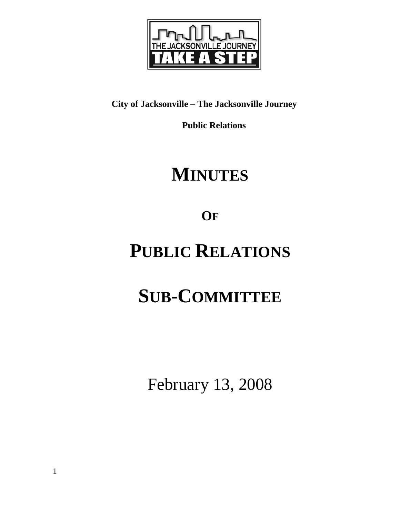

## **City of Jacksonville – The Jacksonville Journey**

 **Public Relations** 

## **MINUTES**

**OF**

## **PUBLIC RELATIONS**

# **SUB-COMMITTEE**

February 13, 2008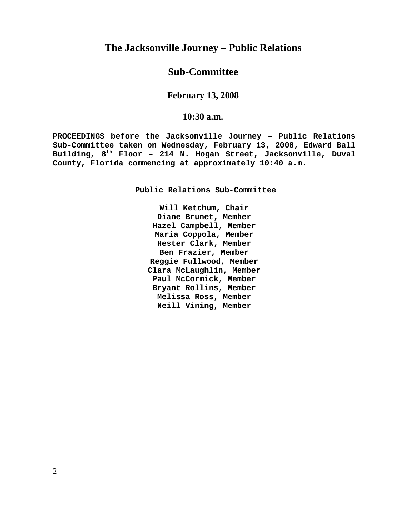### **The Jacksonville Journey – Public Relations**

### **Sub-Committee**

#### **February 13, 2008**

#### **10:30 a.m.**

**PROCEEDINGS before the Jacksonville Journey – Public Relations Sub-Committee taken on Wednesday, February 13, 2008, Edward Ball Building, 8th Floor – 214 N. Hogan Street, Jacksonville, Duval County, Florida commencing at approximately 10:40 a.m.** 

**Public Relations Sub-Committee** 

**Will Ketchum, Chair Diane Brunet, Member Hazel Campbell, Member Maria Coppola, Member Hester Clark, Member Ben Frazier, Member Reggie Fullwood, Member Clara McLaughlin, Member Paul McCormick, Member Bryant Rollins, Member Melissa Ross, Member Neill Vining, Member**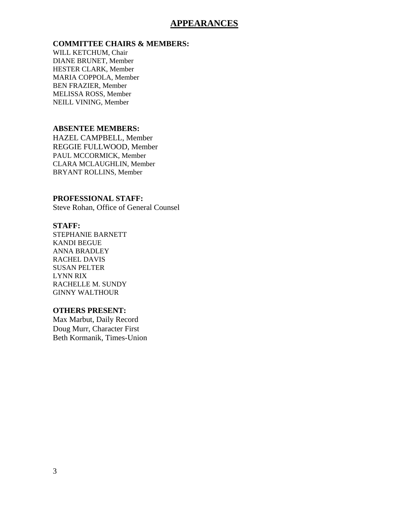#### **APPEARANCES**

#### **COMMITTEE CHAIRS & MEMBERS:**

WILL KETCHUM, Chair DIANE BRUNET, Member HESTER CLARK, Member MARIA COPPOLA, Member BEN FRAZIER, Member MELISSA ROSS, Member NEILL VINING, Member

#### **ABSENTEE MEMBERS:**

HAZEL CAMPBELL, Member REGGIE FULLWOOD, Member PAUL MCCORMICK, Member CLARA MCLAUGHLIN, Member BRYANT ROLLINS, Member

#### **PROFESSIONAL STAFF:**

Steve Rohan, Office of General Counsel

#### **STAFF:**

STEPHANIE BARNETT KANDI BEGUE ANNA BRADLEY RACHEL DAVIS SUSAN PELTER LYNN RIX RACHELLE M. SUNDY GINNY WALTHOUR

#### **OTHERS PRESENT:**

Max Marbut, Daily Record Doug Murr, Character First Beth Kormanik, Times-Union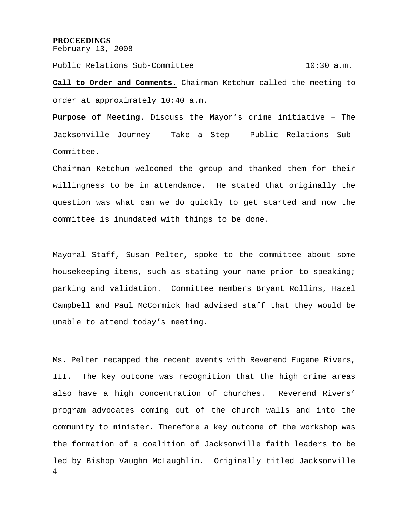#### **PROCEEDINGS**

February 13, 2008

Public Relations Sub-Committee 10:30 a.m.

**Call to Order and Comments.** Chairman Ketchum called the meeting to order at approximately 10:40 a.m.

**Purpose of Meeting.** Discuss the Mayor's crime initiative – The Jacksonville Journey – Take a Step – Public Relations Sub-Committee.

Chairman Ketchum welcomed the group and thanked them for their willingness to be in attendance. He stated that originally the question was what can we do quickly to get started and now the committee is inundated with things to be done.

Mayoral Staff, Susan Pelter, spoke to the committee about some housekeeping items, such as stating your name prior to speaking; parking and validation. Committee members Bryant Rollins, Hazel Campbell and Paul McCormick had advised staff that they would be unable to attend today's meeting.

4 Ms. Pelter recapped the recent events with Reverend Eugene Rivers, III. The key outcome was recognition that the high crime areas also have a high concentration of churches. Reverend Rivers' program advocates coming out of the church walls and into the community to minister. Therefore a key outcome of the workshop was the formation of a coalition of Jacksonville faith leaders to be led by Bishop Vaughn McLaughlin. Originally titled Jacksonville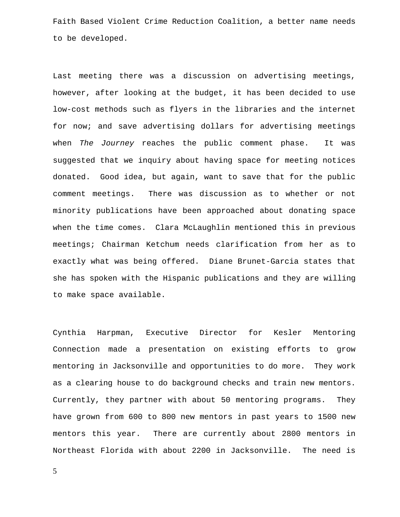Faith Based Violent Crime Reduction Coalition, a better name needs to be developed.

Last meeting there was a discussion on advertising meetings, however, after looking at the budget, it has been decided to use low-cost methods such as flyers in the libraries and the internet for now; and save advertising dollars for advertising meetings when *The Journey* reaches the public comment phase. It was suggested that we inquiry about having space for meeting notices donated. Good idea, but again, want to save that for the public comment meetings. There was discussion as to whether or not minority publications have been approached about donating space when the time comes. Clara McLaughlin mentioned this in previous meetings; Chairman Ketchum needs clarification from her as to exactly what was being offered. Diane Brunet-Garcia states that she has spoken with the Hispanic publications and they are willing to make space available.

Cynthia Harpman, Executive Director for Kesler Mentoring Connection made a presentation on existing efforts to grow mentoring in Jacksonville and opportunities to do more. They work as a clearing house to do background checks and train new mentors. Currently, they partner with about 50 mentoring programs. They have grown from 600 to 800 new mentors in past years to 1500 new mentors this year. There are currently about 2800 mentors in Northeast Florida with about 2200 in Jacksonville. The need is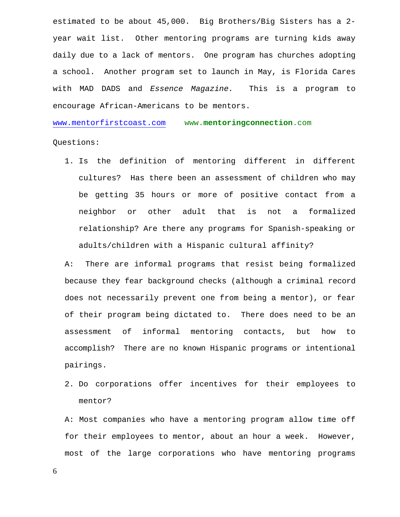estimated to be about 45,000. Big Brothers/Big Sisters has a 2 year wait list. Other mentoring programs are turning kids away daily due to a lack of mentors. One program has churches adopting a school. Another program set to launch in May, is Florida Cares with MAD DADS and *Essence Magazine.* This is a program to encourage African-Americans to be mentors.

[www.mentorfirstcoast.com](http://www.mentorfirstcoast.com/) www.**mentoringconnection**.com

Questions:

1. Is the definition of mentoring different in different cultures? Has there been an assessment of children who may be getting 35 hours or more of positive contact from a neighbor or other adult that is not a formalized relationship? Are there any programs for Spanish-speaking or adults/children with a Hispanic cultural affinity?

A: There are informal programs that resist being formalized because they fear background checks (although a criminal record does not necessarily prevent one from being a mentor), or fear of their program being dictated to. There does need to be an assessment of informal mentoring contacts, but how to accomplish? There are no known Hispanic programs or intentional pairings.

2. Do corporations offer incentives for their employees to mentor?

A: Most companies who have a mentoring program allow time off for their employees to mentor, about an hour a week. However, most of the large corporations who have mentoring programs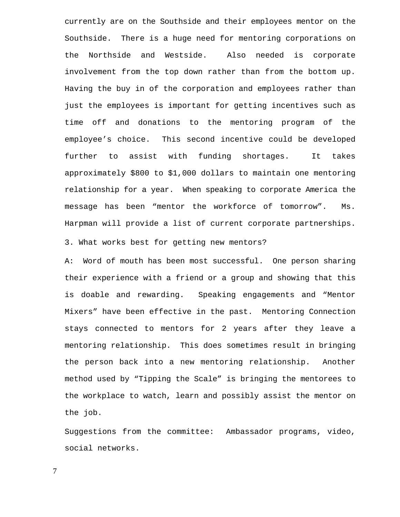currently are on the Southside and their employees mentor on the Southside. There is a huge need for mentoring corporations on the Northside and Westside. Also needed is corporate involvement from the top down rather than from the bottom up. Having the buy in of the corporation and employees rather than just the employees is important for getting incentives such as time off and donations to the mentoring program of the employee's choice. This second incentive could be developed further to assist with funding shortages. It takes approximately \$800 to \$1,000 dollars to maintain one mentoring relationship for a year. When speaking to corporate America the message has been "mentor the workforce of tomorrow". Ms. Harpman will provide a list of current corporate partnerships. 3. What works best for getting new mentors?

A: Word of mouth has been most successful. One person sharing their experience with a friend or a group and showing that this is doable and rewarding. Speaking engagements and "Mentor Mixers" have been effective in the past. Mentoring Connection stays connected to mentors for 2 years after they leave a mentoring relationship. This does sometimes result in bringing the person back into a new mentoring relationship. Another method used by "Tipping the Scale" is bringing the mentorees to the workplace to watch, learn and possibly assist the mentor on the job.

Suggestions from the committee: Ambassador programs, video, social networks.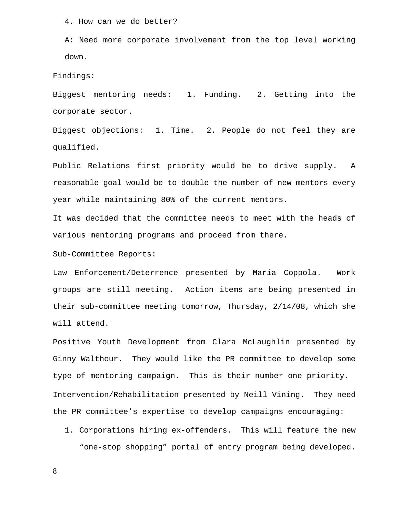4. How can we do better?

A: Need more corporate involvement from the top level working down.

Findings:

Biggest mentoring needs: 1. Funding. 2. Getting into the corporate sector.

Biggest objections: 1. Time. 2. People do not feel they are qualified.

Public Relations first priority would be to drive supply. A reasonable goal would be to double the number of new mentors every year while maintaining 80% of the current mentors.

It was decided that the committee needs to meet with the heads of various mentoring programs and proceed from there.

Sub-Committee Reports:

Law Enforcement/Deterrence presented by Maria Coppola. Work groups are still meeting. Action items are being presented in their sub-committee meeting tomorrow, Thursday, 2/14/08, which she will attend.

Positive Youth Development from Clara McLaughlin presented by Ginny Walthour. They would like the PR committee to develop some type of mentoring campaign. This is their number one priority. Intervention/Rehabilitation presented by Neill Vining. They need the PR committee's expertise to develop campaigns encouraging:

1. Corporations hiring ex-offenders. This will feature the new "one-stop shopping" portal of entry program being developed.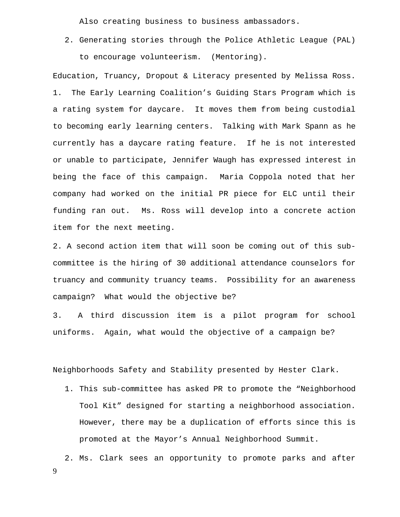Also creating business to business ambassadors.

2. Generating stories through the Police Athletic League (PAL) to encourage volunteerism. (Mentoring).

Education, Truancy, Dropout & Literacy presented by Melissa Ross. 1. The Early Learning Coalition's Guiding Stars Program which is a rating system for daycare. It moves them from being custodial to becoming early learning centers. Talking with Mark Spann as he currently has a daycare rating feature. If he is not interested or unable to participate, Jennifer Waugh has expressed interest in being the face of this campaign. Maria Coppola noted that her company had worked on the initial PR piece for ELC until their funding ran out. Ms. Ross will develop into a concrete action item for the next meeting.

2. A second action item that will soon be coming out of this subcommittee is the hiring of 30 additional attendance counselors for truancy and community truancy teams. Possibility for an awareness campaign? What would the objective be?

3. A third discussion item is a pilot program for school uniforms. Again, what would the objective of a campaign be?

Neighborhoods Safety and Stability presented by Hester Clark.

1. This sub-committee has asked PR to promote the "Neighborhood Tool Kit" designed for starting a neighborhood association. However, there may be a duplication of efforts since this is promoted at the Mayor's Annual Neighborhood Summit.

9 2. Ms. Clark sees an opportunity to promote parks and after